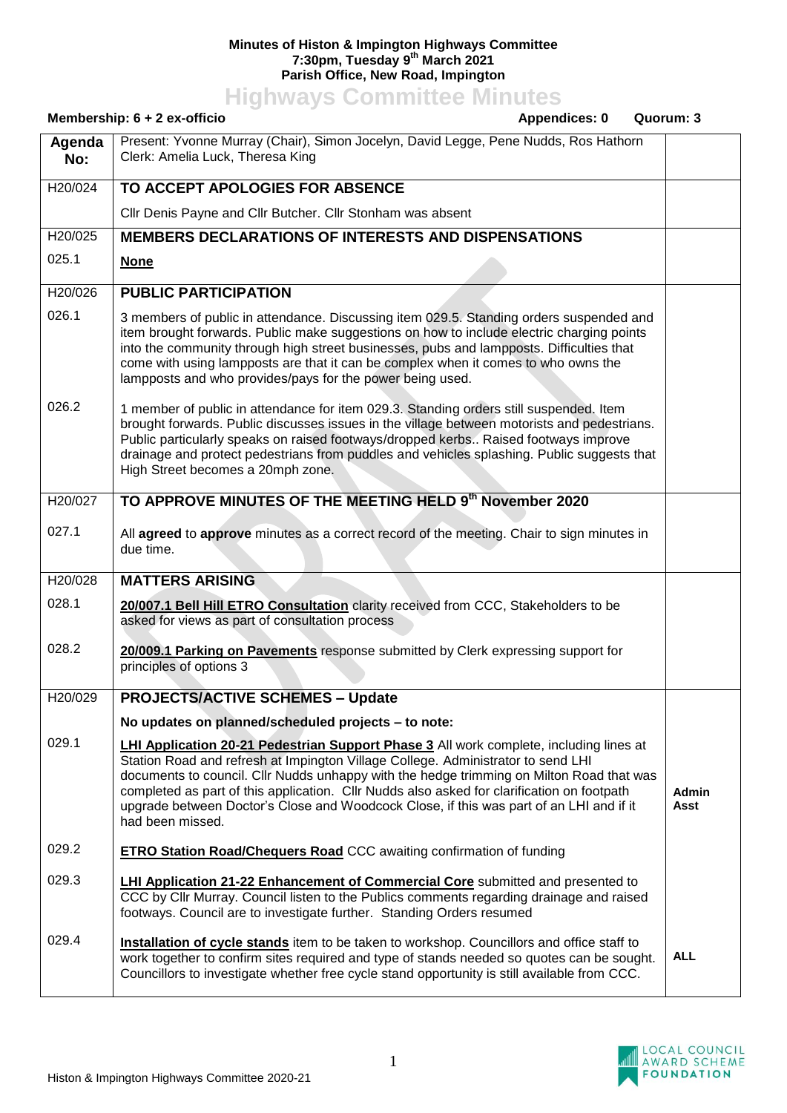## **Minutes of Histon & Impington Highways Committee 7:30pm, Tuesday 9 th March 2021 Parish Office, New Road, Impington**

**Highways Committee Minutes**

| Membership: $6 + 2$ ex-officio<br>Appendices: 0 |                                                                                                                                                                                                                                                                                                                                                                                                                                                                                            | Quorum: 3     |
|-------------------------------------------------|--------------------------------------------------------------------------------------------------------------------------------------------------------------------------------------------------------------------------------------------------------------------------------------------------------------------------------------------------------------------------------------------------------------------------------------------------------------------------------------------|---------------|
| Agenda<br>No:                                   | Present: Yvonne Murray (Chair), Simon Jocelyn, David Legge, Pene Nudds, Ros Hathorn<br>Clerk: Amelia Luck, Theresa King                                                                                                                                                                                                                                                                                                                                                                    |               |
| H20/024                                         | TO ACCEPT APOLOGIES FOR ABSENCE                                                                                                                                                                                                                                                                                                                                                                                                                                                            |               |
|                                                 | Cllr Denis Payne and Cllr Butcher. Cllr Stonham was absent                                                                                                                                                                                                                                                                                                                                                                                                                                 |               |
| H20/025                                         | <b>MEMBERS DECLARATIONS OF INTERESTS AND DISPENSATIONS</b>                                                                                                                                                                                                                                                                                                                                                                                                                                 |               |
| 025.1                                           | <b>None</b>                                                                                                                                                                                                                                                                                                                                                                                                                                                                                |               |
| H20/026                                         | <b>PUBLIC PARTICIPATION</b>                                                                                                                                                                                                                                                                                                                                                                                                                                                                |               |
| 026.1                                           | 3 members of public in attendance. Discussing item 029.5. Standing orders suspended and<br>item brought forwards. Public make suggestions on how to include electric charging points<br>into the community through high street businesses, pubs and lampposts. Difficulties that<br>come with using lampposts are that it can be complex when it comes to who owns the<br>lampposts and who provides/pays for the power being used.                                                        |               |
| 026.2                                           | 1 member of public in attendance for item 029.3. Standing orders still suspended. Item<br>brought forwards. Public discusses issues in the village between motorists and pedestrians.<br>Public particularly speaks on raised footways/dropped kerbs Raised footways improve<br>drainage and protect pedestrians from puddles and vehicles splashing. Public suggests that<br>High Street becomes a 20mph zone.                                                                            |               |
| H20/027                                         | TO APPROVE MINUTES OF THE MEETING HELD 9th November 2020                                                                                                                                                                                                                                                                                                                                                                                                                                   |               |
| 027.1                                           | All agreed to approve minutes as a correct record of the meeting. Chair to sign minutes in<br>due time.                                                                                                                                                                                                                                                                                                                                                                                    |               |
| H20/028                                         | <b>MATTERS ARISING</b>                                                                                                                                                                                                                                                                                                                                                                                                                                                                     |               |
| 028.1                                           | 20/007.1 Bell Hill ETRO Consultation clarity received from CCC, Stakeholders to be<br>asked for views as part of consultation process                                                                                                                                                                                                                                                                                                                                                      |               |
| 028.2                                           | 20/009.1 Parking on Pavements response submitted by Clerk expressing support for<br>principles of options 3                                                                                                                                                                                                                                                                                                                                                                                |               |
| H20/029                                         | <b>PROJECTS/ACTIVE SCHEMES - Update</b>                                                                                                                                                                                                                                                                                                                                                                                                                                                    |               |
|                                                 | No updates on planned/scheduled projects - to note:                                                                                                                                                                                                                                                                                                                                                                                                                                        |               |
| 029.1                                           | <b>LHI Application 20-21 Pedestrian Support Phase 3</b> All work complete, including lines at<br>Station Road and refresh at Impington Village College. Administrator to send LHI<br>documents to council. Cllr Nudds unhappy with the hedge trimming on Milton Road that was<br>completed as part of this application. Cllr Nudds also asked for clarification on footpath<br>upgrade between Doctor's Close and Woodcock Close, if this was part of an LHI and if it<br>had been missed. | Admin<br>Asst |
| 029.2                                           | <b>ETRO Station Road/Chequers Road CCC</b> awaiting confirmation of funding                                                                                                                                                                                                                                                                                                                                                                                                                |               |
| 029.3                                           | <b>LHI Application 21-22 Enhancement of Commercial Core</b> submitted and presented to<br>CCC by Cllr Murray. Council listen to the Publics comments regarding drainage and raised<br>footways. Council are to investigate further. Standing Orders resumed                                                                                                                                                                                                                                |               |
| 029.4                                           | Installation of cycle stands item to be taken to workshop. Councillors and office staff to<br>work together to confirm sites required and type of stands needed so quotes can be sought.<br>Councillors to investigate whether free cycle stand opportunity is still available from CCC.                                                                                                                                                                                                   | <b>ALL</b>    |

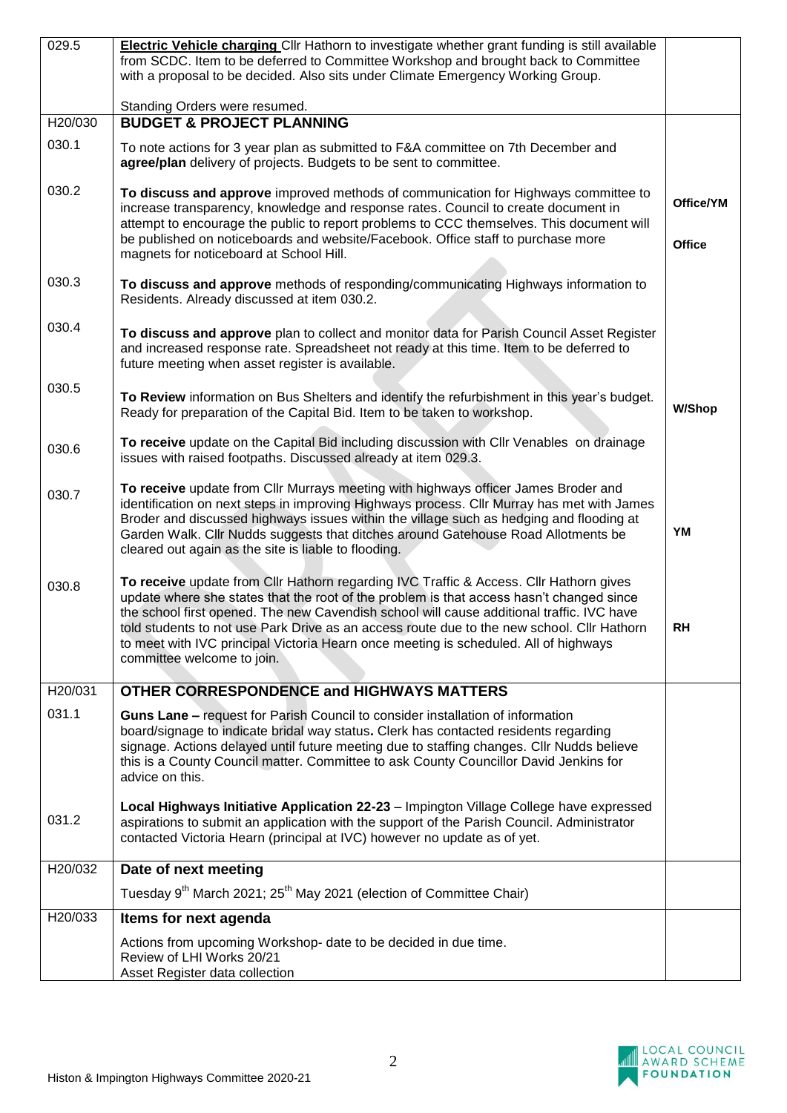| 029.5   | Electric Vehicle charging Cllr Hathorn to investigate whether grant funding is still available                                                                                                                                                                                                                                                                                                                                                                                                      |               |
|---------|-----------------------------------------------------------------------------------------------------------------------------------------------------------------------------------------------------------------------------------------------------------------------------------------------------------------------------------------------------------------------------------------------------------------------------------------------------------------------------------------------------|---------------|
|         | from SCDC. Item to be deferred to Committee Workshop and brought back to Committee                                                                                                                                                                                                                                                                                                                                                                                                                  |               |
|         | with a proposal to be decided. Also sits under Climate Emergency Working Group.                                                                                                                                                                                                                                                                                                                                                                                                                     |               |
|         | Standing Orders were resumed.                                                                                                                                                                                                                                                                                                                                                                                                                                                                       |               |
| H20/030 | <b>BUDGET &amp; PROJECT PLANNING</b>                                                                                                                                                                                                                                                                                                                                                                                                                                                                |               |
| 030.1   | To note actions for 3 year plan as submitted to F&A committee on 7th December and<br>agree/plan delivery of projects. Budgets to be sent to committee.                                                                                                                                                                                                                                                                                                                                              |               |
| 030.2   | To discuss and approve improved methods of communication for Highways committee to<br>increase transparency, knowledge and response rates. Council to create document in                                                                                                                                                                                                                                                                                                                            | Office/YM     |
|         | attempt to encourage the public to report problems to CCC themselves. This document will<br>be published on noticeboards and website/Facebook. Office staff to purchase more<br>magnets for noticeboard at School Hill.                                                                                                                                                                                                                                                                             | <b>Office</b> |
|         |                                                                                                                                                                                                                                                                                                                                                                                                                                                                                                     |               |
| 030.3   | To discuss and approve methods of responding/communicating Highways information to<br>Residents. Already discussed at item 030.2.                                                                                                                                                                                                                                                                                                                                                                   |               |
| 030.4   | To discuss and approve plan to collect and monitor data for Parish Council Asset Register<br>and increased response rate. Spreadsheet not ready at this time. Item to be deferred to<br>future meeting when asset register is available.                                                                                                                                                                                                                                                            |               |
| 030.5   | To Review information on Bus Shelters and identify the refurbishment in this year's budget.<br>Ready for preparation of the Capital Bid. Item to be taken to workshop.                                                                                                                                                                                                                                                                                                                              | <b>W/Shop</b> |
| 030.6   | To receive update on the Capital Bid including discussion with CIIr Venables on drainage<br>issues with raised footpaths. Discussed already at item 029.3.                                                                                                                                                                                                                                                                                                                                          |               |
| 030.7   | To receive update from Cllr Murrays meeting with highways officer James Broder and<br>identification on next steps in improving Highways process. Cllr Murray has met with James<br>Broder and discussed highways issues within the village such as hedging and flooding at<br>Garden Walk. Cllr Nudds suggests that ditches around Gatehouse Road Allotments be<br>cleared out again as the site is liable to flooding.                                                                            | YM            |
| 030.8   | To receive update from Cllr Hathorn regarding IVC Traffic & Access. Cllr Hathorn gives<br>update where she states that the root of the problem is that access hasn't changed since<br>the school first opened. The new Cavendish school will cause additional traffic. IVC have<br>told students to not use Park Drive as an access route due to the new school. Cllr Hathorn<br>to meet with IVC principal Victoria Hearn once meeting is scheduled. All of highways<br>committee welcome to join. | <b>RH</b>     |
| H20/031 | <b>OTHER CORRESPONDENCE and HIGHWAYS MATTERS</b>                                                                                                                                                                                                                                                                                                                                                                                                                                                    |               |
| 031.1   | Guns Lane - request for Parish Council to consider installation of information<br>board/signage to indicate bridal way status. Clerk has contacted residents regarding<br>signage. Actions delayed until future meeting due to staffing changes. Cllr Nudds believe<br>this is a County Council matter. Committee to ask County Councillor David Jenkins for<br>advice on this.                                                                                                                     |               |
| 031.2   | Local Highways Initiative Application 22-23 - Impington Village College have expressed<br>aspirations to submit an application with the support of the Parish Council. Administrator<br>contacted Victoria Hearn (principal at IVC) however no update as of yet.                                                                                                                                                                                                                                    |               |
| H20/032 | Date of next meeting                                                                                                                                                                                                                                                                                                                                                                                                                                                                                |               |
|         | Tuesday 9 <sup>th</sup> March 2021; 25 <sup>th</sup> May 2021 (election of Committee Chair)                                                                                                                                                                                                                                                                                                                                                                                                         |               |
| H20/033 | Items for next agenda                                                                                                                                                                                                                                                                                                                                                                                                                                                                               |               |
|         | Actions from upcoming Workshop- date to be decided in due time.<br>Review of LHI Works 20/21                                                                                                                                                                                                                                                                                                                                                                                                        |               |
|         | Asset Register data collection                                                                                                                                                                                                                                                                                                                                                                                                                                                                      |               |